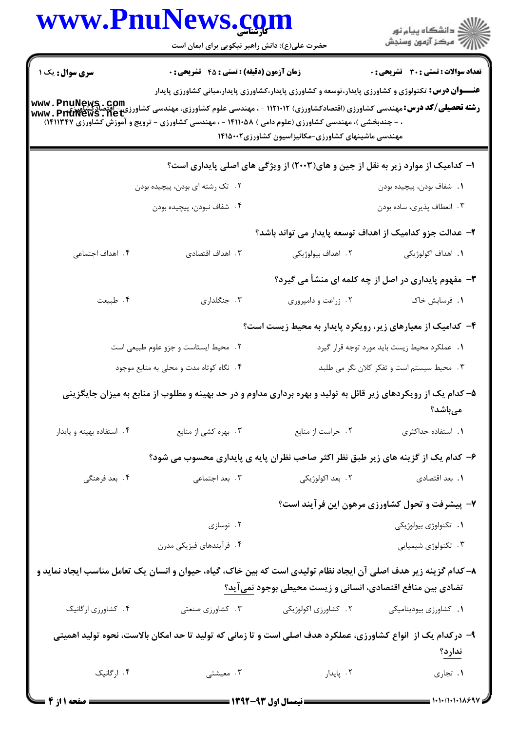| www.PnuNews.com                                                                                                  |                                                                                                                                                            |                                                                                 |                                                                                                                                                           |
|------------------------------------------------------------------------------------------------------------------|------------------------------------------------------------------------------------------------------------------------------------------------------------|---------------------------------------------------------------------------------|-----------------------------------------------------------------------------------------------------------------------------------------------------------|
|                                                                                                                  | حضرت علی(ع): دانش راهبر نیکویی برای ایمان است                                                                                                              |                                                                                 |                                                                                                                                                           |
| <b>سری سوال :</b> یک ۱                                                                                           | <b>زمان آزمون (دقیقه) : تستی : 45 تشریحی : 0</b><br>، - چندبخشی )، مهندسی کشاورزی (علوم دامی ) ۱۴۱۱۰۵۸ - ، مهندسی کشاورزی - ترویج و آموزش کشاورزی ۱۴۱۱۳۴۷) | مهندسی ماشینهای کشاورزی-مکانیزاسیون کشاورزی۱۴۱۵۰۰۲                              | <b>تعداد سوالات : تستي : 30 ٪ تشريحي : 0</b><br><b>عنـــوان درس:</b> تکنولوژی و کشاورزی پایدار،توسعه و کشاورزی پایدار،کشاورزی پایدار،مبانی کشاورزی پایدار |
|                                                                                                                  |                                                                                                                                                            | ا– کدامیک از موارد زیر به نقل از جین و های(۲۰۰۳) از ویژگی های اصلی پایداری است؟ |                                                                                                                                                           |
|                                                                                                                  | ۲. تک رشته ای بودن، پیچیده بودن                                                                                                                            |                                                                                 | <b>1.</b> شفاف بودن، پیچیده بودن                                                                                                                          |
|                                                                                                                  | ۴. شفاف نبودن، پيچيده بودن                                                                                                                                 |                                                                                 | ۰۳ انعطاف پذیری، ساده بودن                                                                                                                                |
|                                                                                                                  |                                                                                                                                                            | ۲– عدالت جزو کدامیک از اهداف توسعه پایدار می تواند باشد؟                        |                                                                                                                                                           |
| ۴. اهداف اجتماعی                                                                                                 | ۰۳ اهداف اقتصادی                                                                                                                                           | ٢. اهداف بيولوژيكي                                                              | <b>۱.</b> اهداف اکولوژیکی                                                                                                                                 |
|                                                                                                                  |                                                                                                                                                            |                                                                                 | ۳- مفهوم پایداری در اصل از چه کلمه ای منشأ می گیرد؟                                                                                                       |
| ۰۴ طبیعت                                                                                                         | ۰۳ جنگلداری                                                                                                                                                | ٢. زراعت و دامپروری                                                             | ۰۱ فرسایش خاک                                                                                                                                             |
|                                                                                                                  |                                                                                                                                                            |                                                                                 | ۴- کدامیک از معیارهای زیر، رویکرد پایدار به محیط زیست است؟                                                                                                |
|                                                                                                                  | ٢. محيط ايستاست و جزو علوم طبيعى است                                                                                                                       |                                                                                 | 1. عملکرد محیط زیست باید مورد توجه قرار گیرد                                                                                                              |
|                                                                                                                  | ۰۴ نگاه کوتاه مدت و محلی به منابع موجود                                                                                                                    |                                                                                 | ۰۳ محیط سیستم است و تفکر کلان نگر می طلبد                                                                                                                 |
|                                                                                                                  | ۵– کدام یک از رویکردهای زیر قائل به تولید و بهره برداری مداوم و در حد بهینه و مطلوب از منابع به میزان جایگزینی                                             |                                                                                 | مىباشد؟                                                                                                                                                   |
| ۰۴ استفاده بهينه و پايدار                                                                                        | ۰۳ بهره کشی از منابع                                                                                                                                       | ٢. حراست از منابع                                                               | ٠١. استفاده حداكثرى                                                                                                                                       |
|                                                                                                                  | ۶– کدام یک از گزینه های زیر طبق نظر اکثر صاحب نظران پایه ی پایداری محسوب می شود؟                                                                           |                                                                                 |                                                                                                                                                           |
| ۰۴ بعد فرهنگی                                                                                                    | ۰۳ بعد اجتماعی                                                                                                                                             | ۲. بعد اکولوژیکی                                                                | ٠١. بعد اقتصادي                                                                                                                                           |
|                                                                                                                  |                                                                                                                                                            |                                                                                 | ۷- پیشرفت و تحول کشاورزی مرهون این فرآیند است؟                                                                                                            |
|                                                                                                                  | ۰۲ نوسازی                                                                                                                                                  |                                                                                 | ٠١. تكنولوژى بيولوژيكى                                                                                                                                    |
|                                                                                                                  | ۴. فرأيندهاي فيزيكي مدرن                                                                                                                                   |                                                                                 | ۰۳ تکنولوژی شیمیایی                                                                                                                                       |
| ۸– کدام گزینه زیر هدف اصلی آن ایجاد نظام تولیدی است که بین خاک، گیاه، حیوان و انسان یک تعامل مناسب ایجاد نماید و |                                                                                                                                                            | تضادی بین منافع اقتصادی، انسانی و زیست محیطی بوجود <u>نمی</u> آید؟              |                                                                                                                                                           |
| ۴. کشاورزی ارگانیک                                                                                               | ۰۳ کشاورزی صنعتی                                                                                                                                           | ٢. كشاورزى اكولوژيكي                                                            | ٠١. كشاورزى بيوديناميكى                                                                                                                                   |
|                                                                                                                  | ۹– درکدام یک از  انواع کشاورزی، عملکرد هدف اصلی است و تا زمانی که تولید تا حد امکان بالاست، نحوه تولید اهمیتی                                              |                                                                                 | <u>ندارد؟</u>                                                                                                                                             |
| ۰۴ ارگانیک                                                                                                       | ۰۳ معیشتی                                                                                                                                                  | ۰۲ پایدار                                                                       | ٠١. تجاري                                                                                                                                                 |
| = صفحه ۱ از ۴                                                                                                    |                                                                                                                                                            | <b>ــــ نیمسال اول ۹۳-۱۳۹۲ ــــــ</b>                                           | = 1・1・/1・1・18697                                                                                                                                          |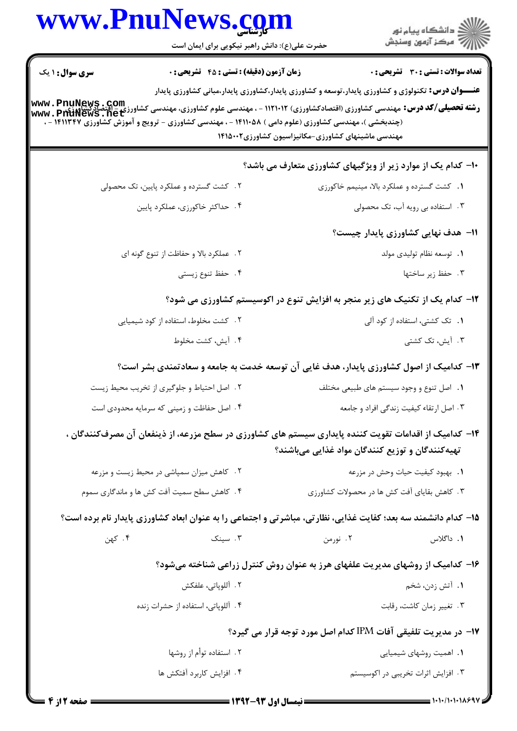|                                                                                         | www.PnuNews.com<br>حضرت علی(ع): دانش راهبر نیکویی برای ایمان است                                                                                                                                                                                                                                                       |                                                                                                                                                                 | ڪ دانشڪاه پيا <sub>م</sub> نور<br>ر <i>7</i> مرڪز آزمون وسنڊش |  |  |
|-----------------------------------------------------------------------------------------|------------------------------------------------------------------------------------------------------------------------------------------------------------------------------------------------------------------------------------------------------------------------------------------------------------------------|-----------------------------------------------------------------------------------------------------------------------------------------------------------------|---------------------------------------------------------------|--|--|
| <b>سری سوال : ۱ یک</b>                                                                  | <b>زمان آزمون (دقیقه) : تستی : 45 تشریحی : 0</b><br><b>رشته تحصیلی/کد درس:</b> مهندسی کشاورزی (اقتصادکشاورزی) ۱۱۲۱۰۱۲ - ، مهندسی علوم کشاورزی، مهندسی کشاورزی - اقتصادگشاورزی<br><b>www . PriuNews . net</b><br>(چندبخشی )، مهندسی کشاورزی (علوم دامی ) ۱۴۱۱۰۵۸ - ، مهندسی کشاورزی - ترویج و آموزش کشاورزی ۱۴۱۱۳۴۷ - ، | <b>عنـــوان درس:</b> تکنولوژی و کشاورزی پایدار،توسعه و کشاورزی پایدار،کشاورزی پایدار،مبانی کشاورزی پایدار<br>مهندسی ماشینهای کشاورزی-مکانیزاسیون کشاورزی۱۴۱۵۰۰۲ | تعداد سوالات : تستي : 30 ٪ تشريحي : 0                         |  |  |
| <b>۰۱- کدام یک از موارد زیر از ویژگیهای کشاورزی متعارف می باشد؟</b>                     |                                                                                                                                                                                                                                                                                                                        |                                                                                                                                                                 |                                                               |  |  |
|                                                                                         | ۲. کشت گسترده و عملکرد پایین، تک محصولی                                                                                                                                                                                                                                                                                | ٠١. كشت گسترده و عملكرد بالا، مينيمم خاكورزي                                                                                                                    |                                                               |  |  |
|                                                                                         | ۴. حداکثر خاکورزی، عملکرد پایین                                                                                                                                                                                                                                                                                        |                                                                                                                                                                 | ۰۳ استفاده بی رویه آب، تک محصولی                              |  |  |
|                                                                                         |                                                                                                                                                                                                                                                                                                                        |                                                                                                                                                                 | 11– هدف نهایی کشاورزی پایدار چیست؟                            |  |  |
|                                                                                         | ٢. عملكرد بالا و حفاظت از تنوع گونه اى                                                                                                                                                                                                                                                                                 |                                                                                                                                                                 | ٠١. توسعه نظام توليدي مولد                                    |  |  |
|                                                                                         | ۰۴ حفظ تنوع زيستي                                                                                                                                                                                                                                                                                                      |                                                                                                                                                                 | ۰۳ حفظ زیر ساختها                                             |  |  |
| ۱۲- کدام یک از تکنیک های زیر منجر به افزایش تنوع در اکوسیستم کشاورزی می شود؟            |                                                                                                                                                                                                                                                                                                                        |                                                                                                                                                                 |                                                               |  |  |
|                                                                                         | ۲. کشت مخلوط، استفاده از کود شیمیایی                                                                                                                                                                                                                                                                                   |                                                                                                                                                                 | ٠١. تک کشتی، استفاده از کود آلی                               |  |  |
|                                                                                         | ۰۴ آيش، كشت مخلوط                                                                                                                                                                                                                                                                                                      |                                                                                                                                                                 | ۰۳ آیش، تک کشتی                                               |  |  |
| ۱۳- کدامیک از اصول کشاورزی پایدار، هدف غایی آن توسعه خدمت به جامعه و سعادتمندی بشر است؟ |                                                                                                                                                                                                                                                                                                                        |                                                                                                                                                                 |                                                               |  |  |
|                                                                                         | ٢. اصل احتياط و جلوگيري از تخريب محيط زيست                                                                                                                                                                                                                                                                             | ٠١. اصل تنوع و وجود سيستم هاى طبيعى مختلف                                                                                                                       |                                                               |  |  |
|                                                                                         | ۰۴ اصل حفاظت و زمینی که سرمایه محدودی است                                                                                                                                                                                                                                                                              |                                                                                                                                                                 | ۰۳ اصل ارتقاء کیفیت زندگی افراد و جامعه                       |  |  |
|                                                                                         | ۱۴– کدامیک از اقدامات تقویت کننده پایداری سیستم های کشاورزی در سطح مزرعه، از ذینفعان آن مصرفکنندگان ،                                                                                                                                                                                                                  | تهیهکنندگان و توزیع کنندگان مواد غذایی میباشند؟                                                                                                                 |                                                               |  |  |
|                                                                                         | ۰۲ کاهش میزان سمپاشی در محیط زیست و مزرعه                                                                                                                                                                                                                                                                              |                                                                                                                                                                 | ٠١. بهبود كيفيت حيات وحش در مزرعه                             |  |  |
|                                                                                         | ۴. کاهش سطح سمیت آفت کش ها و ماندگاری سموم                                                                                                                                                                                                                                                                             | ۰۳ کاهش بقایای آفت کش ها در محصولات کشاورزی                                                                                                                     |                                                               |  |  |
|                                                                                         | ۱۵– کدام دانشمند سه بعد؛ کفایت غذایی، نظارتی، مباشرتی و اجتماعی را به عنوان ابعاد کشاورزی پایدار نام برده است؟                                                                                                                                                                                                         |                                                                                                                                                                 |                                                               |  |  |
| ۰۴ کهن                                                                                  | ۰۳ سینک                                                                                                                                                                                                                                                                                                                | ۲. نورمن                                                                                                                                                        | ۱. داگلاس                                                     |  |  |
|                                                                                         |                                                                                                                                                                                                                                                                                                                        | ۱۶- کدامیک از روشهای مدیریت علفهای هرز به عنوان روش کنترل زراعی شناخته میشود؟                                                                                   |                                                               |  |  |
|                                                                                         | ٢. آللوپاتى، علفكش                                                                                                                                                                                                                                                                                                     |                                                                                                                                                                 | ۱. آتش زدن، شخم                                               |  |  |
|                                                                                         | ۰۴ آللوپاتی، استفاده از حشرات زنده                                                                                                                                                                                                                                                                                     |                                                                                                                                                                 | ۰۳ تغيير زمان كاشت، رقابت                                     |  |  |
|                                                                                         |                                                                                                                                                                                                                                                                                                                        | 17- در مدیریت تلفیقی آفات IPM کدام اصل مورد توجه قرار می گیرد؟                                                                                                  |                                                               |  |  |
|                                                                                         | ۲ . استفاده توأم از روشها                                                                                                                                                                                                                                                                                              |                                                                                                                                                                 | ۰۱ اهمیت روشهای شیمیایی                                       |  |  |
|                                                                                         | ۴. افزایش کاربرد آفتکش ها                                                                                                                                                                                                                                                                                              |                                                                                                                                                                 | ۰۳ افزایش اثرات تخریبی در اکوسیستم                            |  |  |
|                                                                                         |                                                                                                                                                                                                                                                                                                                        |                                                                                                                                                                 | $-1.1.11.11.001$                                              |  |  |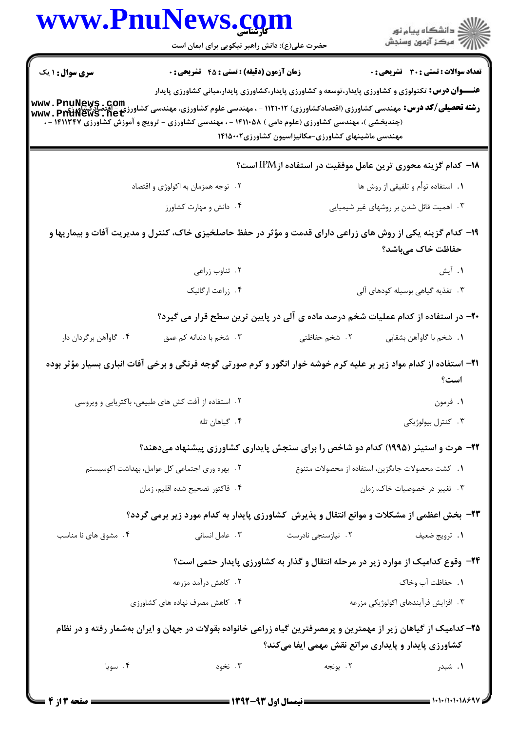|                                               | www.PnuNews.com<br>حضرت علی(ع): دانش راهبر نیکویی برای ایمان است                                                           |                                                             | ڪ دانشڪاه پيام نور<br>پ <sup>ر</sup> مرڪز آزمون وسنڊش                                                     |
|-----------------------------------------------|----------------------------------------------------------------------------------------------------------------------------|-------------------------------------------------------------|-----------------------------------------------------------------------------------------------------------|
| <b>سری سوال : ۱ یک</b>                        | <b>زمان آزمون (دقیقه) : تستی : 45 تشریحی : 0</b>                                                                           |                                                             | <b>تعداد سوالات : تستی : 30 ٪ تشریحی : 0</b>                                                              |
|                                               | (چندبخشی )، مهندسی کشاورزی (علوم دامی ) ۱۴۱۱۰۵۸ - ، مهندسی کشاورزی - ترویج و آموزش کشاورزی ۱۴۱۱۳۴۷ - ،                     | مهندسی ماشینهای کشاورزی-مکانیزاسیون کشاورزی۱۴۱۵۰۰۲          | <b>عنـــوان درس:</b> تکنولوژی و کشاورزی پایدار،توسعه و کشاورزی پایدار،کشاورزی پایدار،مبانی کشاورزی پایدار |
|                                               |                                                                                                                            |                                                             | ۱۸− کدام گزینه محوری ترین عامل موفقیت در استفاده از IPM است؟                                              |
|                                               | ۲. توجه همزمان به اکولوژی و اقتصاد                                                                                         |                                                             | ۰۱ استفاده توأم و تلفیقی از روش ها                                                                        |
|                                               | ۰۴ دانش و مهارت کشاورز                                                                                                     |                                                             | ۰۳ اهمیت قائل شدن بر روشهای غیر شیمیایی                                                                   |
|                                               | ۱۹- کدام گزینه یکی از روش های زراعی دارای قدمت و مؤثر در حفظ حاصلخیزی خاک، کنترل و مدیریت آفات و بیماریها و                |                                                             | حفاظت خاک میباشد؟                                                                                         |
|                                               | ۰۲ تناوب زراعی                                                                                                             |                                                             | ۱. آیش                                                                                                    |
|                                               | ۴. زراعت ارگانیک                                                                                                           |                                                             | ۰۳ تغذیه گیاهی بوسیله کودهای آلی                                                                          |
|                                               |                                                                                                                            |                                                             | +۲- در استفاده از کدام عملیات شخم درصد ماده ی آلی در پایین ترین سطح قرار می گیرد؟                         |
| ۰۴ گاوآهن برگردان دار                         | ۰۳ شخم با دندانه کم عمق                                                                                                    | ٢. شخم حفاظتى                                               | <b>١.</b> شخم با گاوآهن بشقابي                                                                            |
|                                               | <b>۳۱</b> – استفاده از کدام مواد زیر بر علیه کرم خوشه خوار انگور و کرم صورتی گوجه فرنگی و برخی آفات انباری بسیار مؤثر بوده |                                                             | است؟                                                                                                      |
|                                               | ۲ . استفاده از آفت کش های طبیعی، باکتریایی و ویروسی                                                                        |                                                             | ۰۱ فرمون                                                                                                  |
|                                               | ۴. گیاهان تله                                                                                                              |                                                             | ۰۳ کنترل بیولوژیکی                                                                                        |
|                                               | ۲۲- هرت و استینر (۱۹۹۵) کدام دو شاخص را برای سنجش پایداری کشاورزی پیشنهاد میدهند؟                                          |                                                             |                                                                                                           |
| ۰۲ بهره وری اجتماعی کل عوامل، بهداشت اکوسیستم |                                                                                                                            |                                                             | 1. كشت محصولات جايگزين، استفاده از محصولات متنوع                                                          |
|                                               | ۴. فاكتور تصحيح شده اقليم، زمان                                                                                            |                                                             | ۰۳ تغییر در خصوصیات خاک، زمان                                                                             |
|                                               | <b>۲۳</b> - بخش اعظمی از مشکلات و موانع انتقال و پذیرش کشاورزی پایدار به کدام مورد زیر برمی گردد؟                          |                                                             |                                                                                                           |
| ۰۴ مشوق های نا مناسب                          | ۰۳ عامل انسانی                                                                                                             | ۲. نیازسنجی نادرست                                          | ٠١ ترويج ضعيف                                                                                             |
|                                               |                                                                                                                            |                                                             | ۲۴- وقوع کدامیک از موارد زیر در مرحله انتقال و گذار به کشاورزی پایدار حتمی است؟                           |
|                                               | ۲ . کاهش درآمد مزرعه                                                                                                       |                                                             | 1. حفاظت آب وخاک                                                                                          |
| ۰۴ کاهش مصرف نهاده های کشاورزی                |                                                                                                                            | ۰۳ افزایش فرآیندهای اکولوژیکی مزرعه                         |                                                                                                           |
|                                               | ۲۵– کدامیک از گیاهان زیر از مهمترین و پرمصرفترین گیاه زراعی خانواده بقولات در جهان و ایران بهشمار رفته و در نظام           | <b>کشاورزی پایدار و پایداری مراتع نقش مهمی ایفا میکند</b> ؟ |                                                                                                           |
| ۰۴ سويا                                       | ۰۳ نخود                                                                                                                    | ٢. يونجه                                                    | ۰۱ شېدر                                                                                                   |
|                                               |                                                                                                                            |                                                             |                                                                                                           |